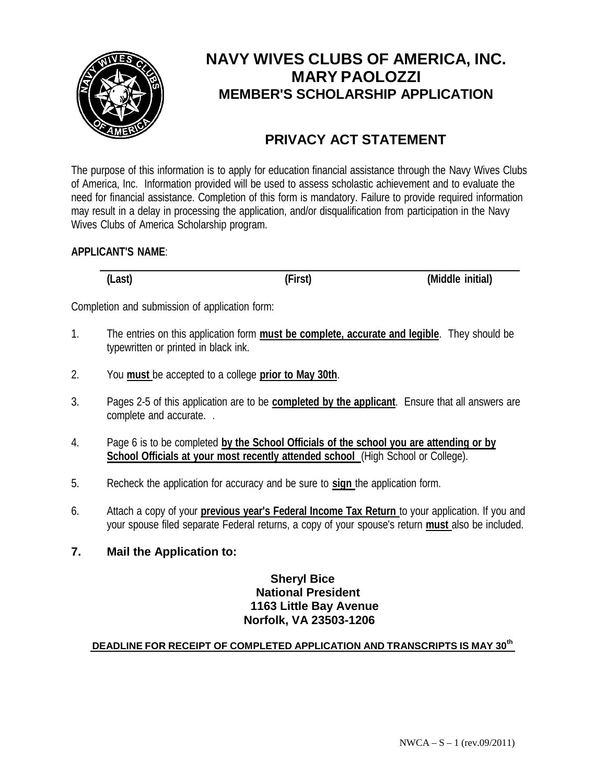

## **PRIVACY ACT STATEMENT**

The purpose of this information is to apply for education financial assistance through the Navy Wives Clubs of America, Inc. Information provided will be used to assess scholastic achievement and to evaluate the need for financial assistance. Completion of this form is mandatory. Failure to provide required information may result in a delay in processing the application, and/or disqualification from participation in the Navy Wives Clubs of America Scholarship program.

#### **APPLICANT'S NAME**:

**(Last) (First) (Middle initial)**

Completion and submission of application form:

- 1. The entries on this application form **must be complete, accurate and legible**. They should be typewritten or printed in black ink.
- 2. You **must** be accepted to a college **prior to May 30th**.
- 3. Pages 2-5 of this application are to be **completed by the applicant**. Ensure that all answers are complete and accurate. .
- 4. Page 6 is to be completed **by the School Officials of the school you are attending or by School Officials at your most recently attended school** (High School or College).
- 5. Recheck the application for accuracy and be sure to **sign** the application form.
- 6. Attach a copy of your **previous year's Federal Income Tax Return** to your application. If you and your spouse filed separate Federal returns, a copy of your spouse's return **must** also be included.

#### **7. Mail the Application to:**

#### **Sheryl Bice National President 1163 Little Bay Avenue Norfolk, VA 23503-1206**

#### **DEADLINE FOR RECEIPT OF COMPLETED APPLICATION AND TRANSCRIPTS IS MAY 30th**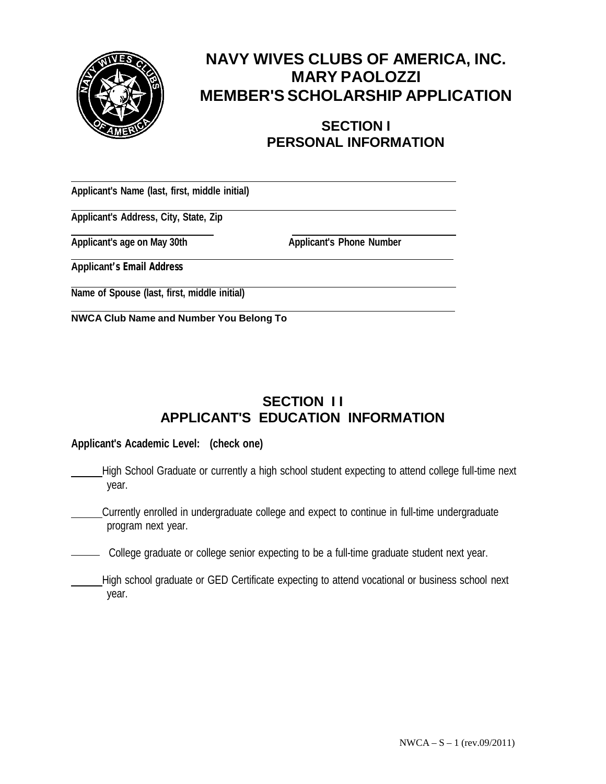

### **SECTION I PERSONAL INFORMATION**

**Applicant's Name (last, first, middle initial) Applicant's Address, City, State, Zip Applicant's age on May 30th Applicant's Phone Number Applicant's Email Address Name of Spouse (last, first, middle initial) NWCA Club Name and Number You Belong To**

## **SECTION I I APPLICANT'S EDUCATION INFORMATION**

#### **Applicant's Academic Level: (check one)**

- High School Graduate or currently a high school student expecting to attend college full-time next year.
- Currently enrolled in undergraduate college and expect to continue in full-time undergraduate program next year.

College graduate or college senior expecting to be a full-time graduate student next year.

High school graduate or GED Certificate expecting to attend vocational or business school next year.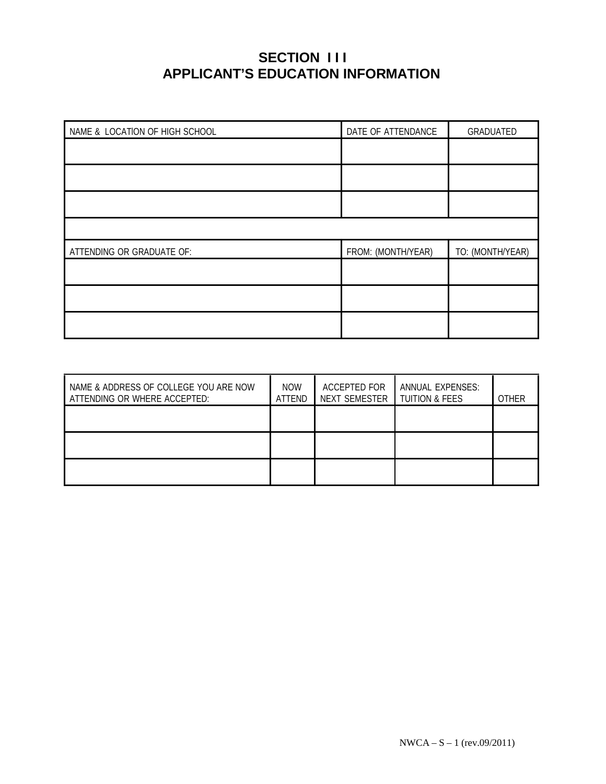### **SECTION I I I APPLICANT'S EDUCATION INFORMATION**

| NAME & LOCATION OF HIGH SCHOOL | DATE OF ATTENDANCE | GRADUATED        |
|--------------------------------|--------------------|------------------|
|                                |                    |                  |
|                                |                    |                  |
|                                |                    |                  |
|                                |                    |                  |
| ATTENDING OR GRADUATE OF:      | FROM: (MONTH/YEAR) | TO: (MONTH/YEAR) |
|                                |                    |                  |
|                                |                    |                  |
|                                |                    |                  |

| NAME & ADDRESS OF COLLEGE YOU ARE NOW<br>ATTENDING OR WHERE ACCEPTED: | <b>NOW</b><br>ATTEND | ACCEPTED FOR<br><b>NEXT SEMESTER</b> | <b>ANNUAL EXPENSES:</b><br><b>TUITION &amp; FEES</b> | <b>OTHER</b> |
|-----------------------------------------------------------------------|----------------------|--------------------------------------|------------------------------------------------------|--------------|
|                                                                       |                      |                                      |                                                      |              |
|                                                                       |                      |                                      |                                                      |              |
|                                                                       |                      |                                      |                                                      |              |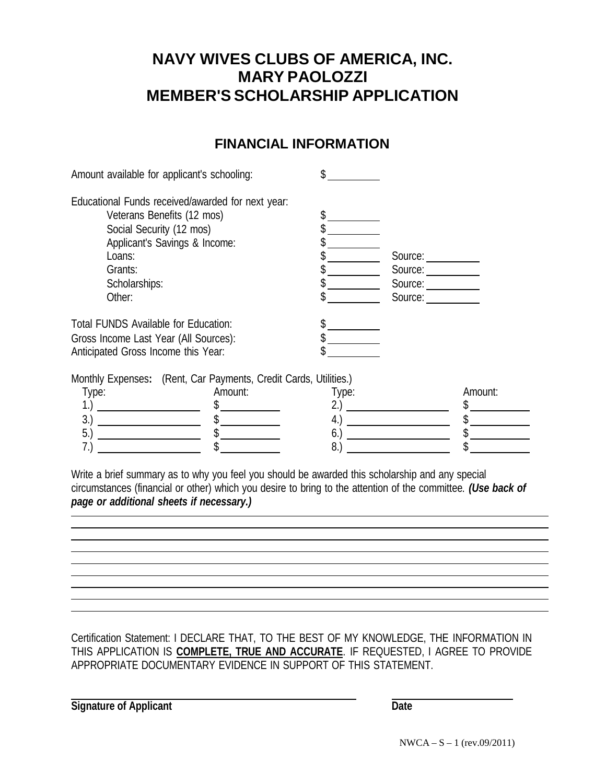### **FINANCIAL INFORMATION**

| Amount available for applicant's schooling:                                                                                                                                                                                                                                                                                                               | \$    |                                    |               |
|-----------------------------------------------------------------------------------------------------------------------------------------------------------------------------------------------------------------------------------------------------------------------------------------------------------------------------------------------------------|-------|------------------------------------|---------------|
| Educational Funds received/awarded for next year:<br>Veterans Benefits (12 mos)<br>Social Security (12 mos)                                                                                                                                                                                                                                               |       |                                    |               |
| Applicant's Savings & Income:<br>Loans:                                                                                                                                                                                                                                                                                                                   |       | Source:                            |               |
| Grants:                                                                                                                                                                                                                                                                                                                                                   |       | Source: $\_\_$                     |               |
| Scholarships:                                                                                                                                                                                                                                                                                                                                             |       | Source:                            |               |
| Other:                                                                                                                                                                                                                                                                                                                                                    |       | Source:                            |               |
| Total FUNDS Available for Education:<br>Gross Income Last Year (All Sources):<br>Anticipated Gross Income this Year:                                                                                                                                                                                                                                      |       |                                    |               |
| Monthly Expenses: (Rent, Car Payments, Credit Cards, Utilities.)                                                                                                                                                                                                                                                                                          |       |                                    |               |
| Amount:<br>Type:                                                                                                                                                                                                                                                                                                                                          | Type: |                                    | Amount:       |
| (1.)<br>$\frac{1}{2}$                                                                                                                                                                                                                                                                                                                                     |       | $4.) \n\underline{\hspace{1.5cm}}$ | $\frac{1}{2}$ |
| $\begin{picture}(20,20) \put(0,0){\line(1,0){10}} \put(15,0){\line(1,0){10}} \put(15,0){\line(1,0){10}} \put(15,0){\line(1,0){10}} \put(15,0){\line(1,0){10}} \put(15,0){\line(1,0){10}} \put(15,0){\line(1,0){10}} \put(15,0){\line(1,0){10}} \put(15,0){\line(1,0){10}} \put(15,0){\line(1,0){10}} \put(15,0){\line(1,0){10}} \put(15,0){\line(1$<br>5. |       |                                    |               |
| 7.)                                                                                                                                                                                                                                                                                                                                                       | 8.)   |                                    |               |
| Write a brief summary as to why you feel you should be awarded this scholarship and any special<br>circumstances (financial or other) which you desire to bring to the attention of the committee. (Use back of                                                                                                                                           |       |                                    |               |

*page or additional sheets if necessary.)*

Certification Statement: I DECLARE THAT, TO THE BEST OF MY KNOWLEDGE, THE INFORMATION IN THIS APPLICATION IS **COMPLETE, TRUE AND ACCURATE**. IF REQUESTED, I AGREE TO PROVIDE APPROPRIATE DOCUMENTARY EVIDENCE IN SUPPORT OF THIS STATEMENT.

**Signature of Applicant Date**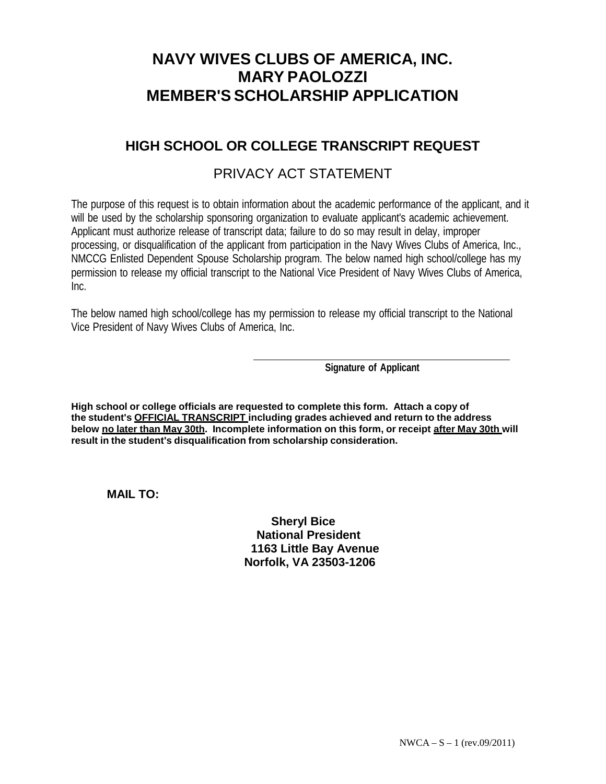### **HIGH SCHOOL OR COLLEGE TRANSCRIPT REQUEST**

### PRIVACY ACT STATEMENT

The purpose of this request is to obtain information about the academic performance of the applicant, and it will be used by the scholarship sponsoring organization to evaluate applicant's academic achievement. Applicant must authorize release of transcript data; failure to do so may result in delay, improper processing, or disqualification of the applicant from participation in the Navy Wives Clubs of America, Inc., NMCCG Enlisted Dependent Spouse Scholarship program. The below named high school/college has my permission to release my official transcript to the National Vice President of Navy Wives Clubs of America, Inc.

The below named high school/college has my permission to release my official transcript to the National Vice President of Navy Wives Clubs of America, Inc.

**Signature of Applicant**

**High school or college officials are requested to complete this form. Attach a copy of the student's OFFICIAL TRANSCRIPT including grades achieved and return to the address below no later than May 30th. Incomplete information on this form, or receipt after May 30th will result in the student's disqualification from scholarship consideration.**

**MAIL TO:**

**Sheryl Bice National President 1163 Little Bay Avenue Norfolk, VA 23503-1206**